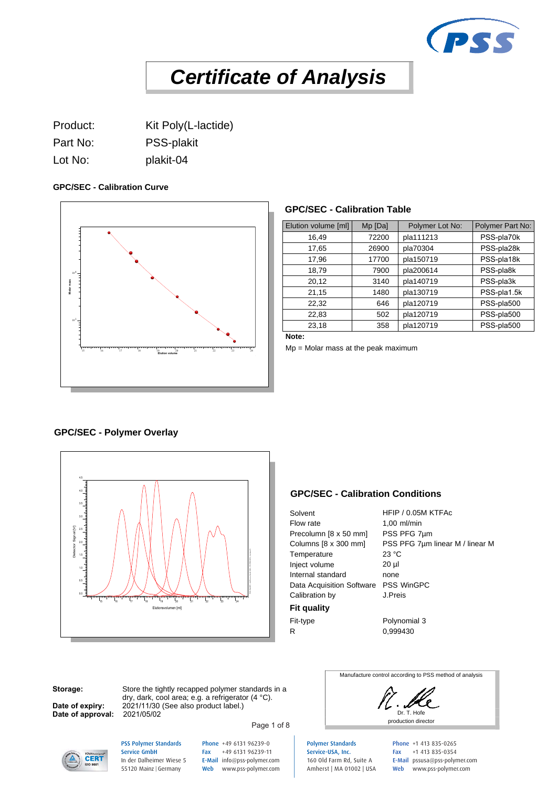

Product: Kit Poly(L-lactide)

Part No: PSS-plakit

Lot No: plakit-04

#### **GPC/SEC - Calibration Curve**



#### **GPC/SEC - Calibration Table**

| Elution volume [ml] | $Mp$ [Da] | Polymer Lot No: | Polymer Part No: |
|---------------------|-----------|-----------------|------------------|
| 16,49               | 72200     | pla111213       | PSS-pla70k       |
| 17,65               | 26900     | pla70304        | PSS-pla28k       |
| 17,96               | 17700     | pla150719       | PSS-pla18k       |
| 18,79               | 7900      | pla200614       | PSS-pla8k        |
| 20,12               | 3140      | pla140719       | PSS-pla3k        |
| 21,15               | 1480      | pla130719       | PSS-pla1.5k      |
| 22,32               | 646       | pla120719       | PSS-pla500       |
| 22,83               | 502       | pla120719       | PSS-pla500       |
| 23,18               | 358       | pla120719       | PSS-pla500       |
| .                   |           |                 |                  |

**Note:**

Mp = Molar mass at the peak maximum

#### **GPC/SEC - Polymer Overlay**



#### **GPC/SEC - Calibration Conditions**

| Solvent                              | HFIP / 0.05M KTFAc              |
|--------------------------------------|---------------------------------|
| Flow rate                            | $1,00$ ml/min                   |
| Precolumn [8 x 50 mm]                | PSS PFG 7um                     |
| Columns [8 x 300 mm]                 | PSS PFG 7µm linear M / linear M |
| Temperature                          | 23 °C                           |
| Inject volume                        | $20 \mu$                        |
| Internal standard                    | none                            |
| Data Acquisition Software PSS WinGPC |                                 |
| Calibration by                       | J.Preis                         |
| <b>Fit quality</b>                   |                                 |
| Fit-type                             | Polynomial 3                    |
| R                                    | 0.999430                        |

**Storage:**

**Date of expiry: Date of approval:** 

Store the tightly recapped polymer standards in a dry, dark, cool area; e.g. a refrigerator (4 °C). 2021/11/30 (See also product label.)<br>2021/05/02

Page 1 of 8



Manufacture control according to PSS method of analysis



PSS Polymer Standards Service GmbH In der Dalheimer Wiese 5 55120 Mainz |Germany

Phone +49 6131 96239-0 Fax +49 6131 96239-11 E-Mail info@pss-polymer.com Web www.pss-polymer.com Polymer Standards Service-USA, Inc. 160 Old Farm Rd, Suite A Amherst | MA 01002 | USA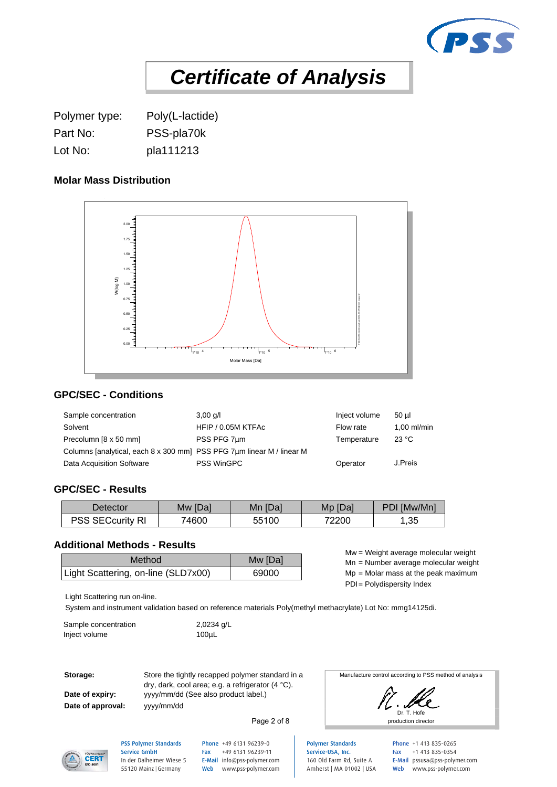

Polymer type: Poly(L-lactide) Part No: PSS-pla70k Lot No: pla111213

## **Molar Mass Distribution**



## **GPC/SEC - Conditions**

| Sample concentration                                                  | $3,00$ g/l         | Inject volume | 50 ul         |
|-----------------------------------------------------------------------|--------------------|---------------|---------------|
| Solvent                                                               | HFIP / 0.05M KTFAc | Flow rate     | $1.00$ ml/min |
| Precolumn [8 x 50 mm]                                                 | PSS PFG 7um        | Temperature   | 23 °C         |
| Columns [analytical, each 8 x 300 mm] PSS PFG 7um linear M / linear M |                    |               |               |
| Data Acquisition Software                                             | <b>PSS WinGPC</b>  | Operator      | J.Preis       |

#### **GPC/SEC - Results**

| Detector      | [Da]  | [Da]              | [Da]  | [Mw/Mn]    |
|---------------|-------|-------------------|-------|------------|
|               | Mw    | Mn                | Mp    | וח         |
| :curitv<br>П. | 74600 | 55100<br>へへ<br>◡◡ | 72200 | つら<br>ن ب, |

#### **Additional Methods - Results**

| Method                              | Mw [Da] | $m = v$ eight average molecular weight<br>Mn = Number average molecular weight |
|-------------------------------------|---------|--------------------------------------------------------------------------------|
| Light Scattering, on-line (SLD7x00) | 69000   | $Mp = Molar$ mass at the peak maximum                                          |

Mw = Weight average molecular weight Mn = Number average molecular weight

PDI= Polydispersity Index

Light Scattering run on-line.

System and instrument validation based on reference materials Poly(methyl methacrylate) Lot No: mmg14125di.

| Sample concentration | $2,0234$ g/L     |
|----------------------|------------------|
| Inject volume        | 100 <sub>µ</sub> |

**Date of approval:**

**Storage:** Store the tightly recapped polymer standard in a Date of expiry: yyyy/mm/dd (See also product label.) dry, dark, cool area; e.g. a refrigerator (4 °C). yyyy/mm/dd

Manufacture control according to PSS method of analysis



Page 2 of 8

Polymer Standards Service-USA, Inc. 160 Old Farm Rd, Suite A Amherst | MA 01002 | USA Phone +1 413 835-0265 Fax +1 413 835-0354 E-Mail pssusa@pss-polymer.com Web www.pss-polymer.com



PSS Polymer Standards Service GmbH In der Dalheimer Wiese 5 55120 Mainz |Germany

Phone +49 6131 96239-0 Fax +49 6131 96239-11 E-Mail info@pss-polymer.com Web www.pss-polymer.com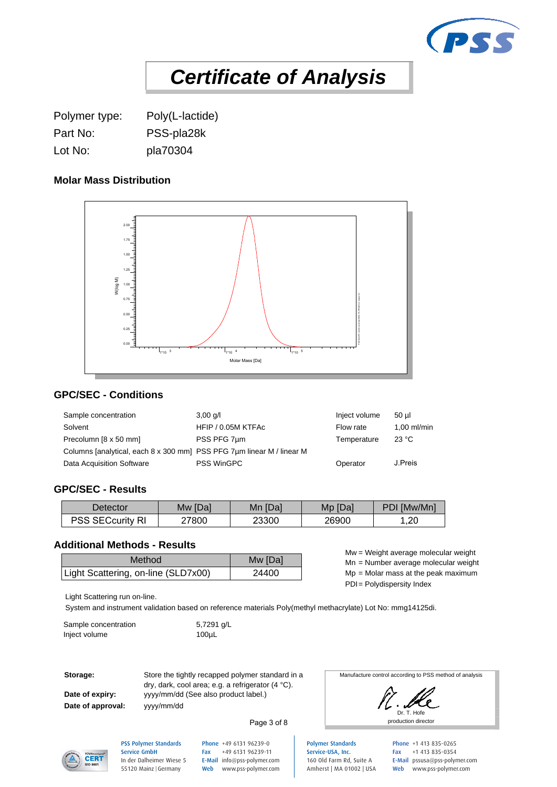

Polymer type: Poly(L-lactide) Part No: PSS-pla28k Lot No: pla70304

## **Molar Mass Distribution**



## **GPC/SEC - Conditions**

| Sample concentration                                                  | $3,00$ g/l         | Inject volume | 50 ul         |
|-----------------------------------------------------------------------|--------------------|---------------|---------------|
| Solvent                                                               | HFIP / 0.05M KTFAc | Flow rate     | $1.00$ ml/min |
| Precolumn [8 x 50 mm]                                                 | PSS PFG 7um        | Temperature   | 23 °C         |
| Columns [analytical, each 8 x 300 mm] PSS PFG 7um linear M / linear M |                    |               |               |
| Data Acquisition Software                                             | <b>PSS WinGPC</b>  | Operator      | J.Preis       |

#### **GPC/SEC - Results**

| Detector                                          | Mw [Da] | <b>IDal</b><br>Mn | [Da]<br>Mp | [Mw/Mn]<br>πг |
|---------------------------------------------------|---------|-------------------|------------|---------------|
| noo<br>$\mathsf{c}$ curitv $\degree$<br>гΩ.<br>٠. | 27800   | 23300             | 26900      | ,20           |

#### **Additional Methods - Results**

| Method                              | Mw [Da] | $m = v$ eight average molecular weight<br>Mn = Number average molecular weight |
|-------------------------------------|---------|--------------------------------------------------------------------------------|
| Light Scattering, on-line (SLD7x00) | 24400   | $Mp = Molar$ mass at the peak maximum                                          |

Mw = Weight average molecular weight Mn = Number average molecular weight

PDI= Polydispersity Index

Light Scattering run on-line.

System and instrument validation based on reference materials Poly(methyl methacrylate) Lot No: mmg14125di.

| Sample concentration | 5,7291 g/L       |
|----------------------|------------------|
| Inject volume        | 100 <sub>µ</sub> |

**Date of approval:**

**Storage:** Store the tightly recapped polymer standard in a Date of expiry: yyyy/mm/dd (See also product label.) dry, dark, cool area; e.g. a refrigerator (4 °C). yyyy/mm/dd

Manufacture control according to PSS method of analysis



**CERT** 

PSS Polymer Standards Service GmbH In der Dalheimer Wiese 5 55120 Mainz |Germany

Phone +49 6131 96239-0 Fax +49 6131 96239-11 E-Mail info@pss-polymer.com Web www.pss-polymer.com

Page 3 of 8

Polymer Standards Service-USA, Inc. 160 Old Farm Rd, Suite A Amherst | MA 01002 | USA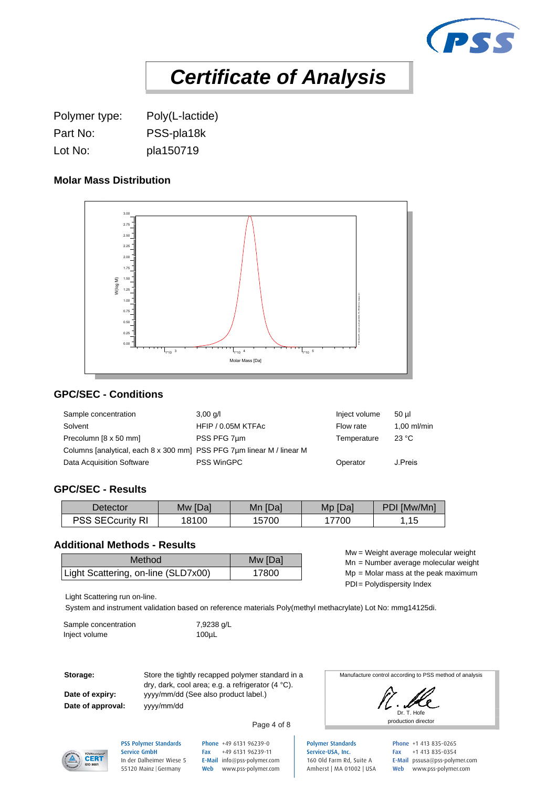

Polymer type: Poly(L-lactide) Part No: PSS-pla18k Lot No: pla150719

#### **Molar Mass Distribution**



## **GPC/SEC - Conditions**

| Sample concentration                                                  | $3,00$ g/l         | Inject volume | 50 ul         |
|-----------------------------------------------------------------------|--------------------|---------------|---------------|
| Solvent                                                               | HFIP / 0.05M KTFAc | Flow rate     | $1.00$ ml/min |
| Precolumn [8 x 50 mm]                                                 | PSS PFG 7um        | Temperature   | 23 °C         |
| Columns [analytical, each 8 x 300 mm] PSS PFG 7um linear M / linear M |                    |               |               |
| Data Acquisition Software                                             | <b>PSS WinGPC</b>  | Operator      | J.Preis       |

#### **GPC/SEC - Results**

| Detector                               | Mw [Da] | ∣ [Da]<br>Mn | Mp [Da] | PDI [Mw/Mn] |
|----------------------------------------|---------|--------------|---------|-------------|
| / RI<br><b>SECcurity</b><br><b>PSS</b> | 18100   | 5700         | 7700    | 4E<br>ں اب  |

## **Additional Methods - Results**

| Method                              | Mw [Da] | $m = v$ eight average molecular weight<br>Mn = Number average molecular weight |
|-------------------------------------|---------|--------------------------------------------------------------------------------|
| Light Scattering, on-line (SLD7x00) | 7800    | $Mp = Molar$ mass at the peak maximum                                          |

Mw = Weight average molecular weight Mn = Number average molecular weight

PDI= Polydispersity Index

Light Scattering run on-line.

System and instrument validation based on reference materials Poly(methyl methacrylate) Lot No: mmg14125di.

| Sample concentration | 7,9238 g/L       |
|----------------------|------------------|
| Inject volume        | 100 <sub>µ</sub> |

**Date of approval:**

**Storage:** Store the tightly recapped polymer standard in a Date of expiry: yyyy/mm/dd (See also product label.) dry, dark, cool area; e.g. a refrigerator (4 °C). yyyy/mm/dd

Manufacture control according to PSS method of analysis



**CERT** 

PSS Polymer Standards Service GmbH In der Dalheimer Wiese 5 55120 Mainz |Germany

Phone +49 6131 96239-0 Fax +49 6131 96239-11 E-Mail info@pss-polymer.com Web www.pss-polymer.com

Page 4 of 8

Polymer Standards Service-USA, Inc. 160 Old Farm Rd, Suite A Amherst | MA 01002 | USA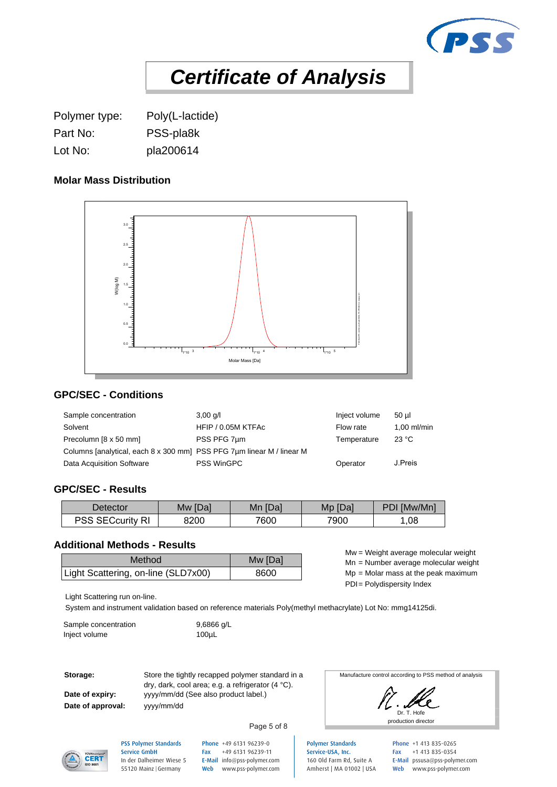

Polymer type: Poly(L-lactide) Part No: PSS-pla8k Lot No: pla200614

## **Molar Mass Distribution**



## **GPC/SEC - Conditions**

| Sample concentration                                                  | $3,00$ g/l         | Inject volume | 50 ul       |
|-----------------------------------------------------------------------|--------------------|---------------|-------------|
| Solvent                                                               | HFIP / 0.05M KTFAc | Flow rate     | 1.00 ml/min |
| Precolumn [8 x 50 mm]                                                 | PSS PFG 7um        | Temperature   | 23 °C       |
| Columns [analytical, each 8 x 300 mm] PSS PFG 7um linear M / linear M |                    |               |             |
| Data Acquisition Software                                             | <b>PSS WinGPC</b>  | Operator      | J.Preis     |

#### **GPC/SEC - Results**

| Detector           | [Dal | [Da] | [Da] | [Mw/Mn] |
|--------------------|------|------|------|---------|
|                    | Mw   | Mn   | Mp   | ום      |
| R<br>∶curit∨<br>oo | 8200 | 7600 | 7900 | ,08     |

#### **Additional Methods - Results**

| Method                              | Mw [Da] | $m = v$ eight average molecular weight<br>Mn = Number average molecular weight |
|-------------------------------------|---------|--------------------------------------------------------------------------------|
| Light Scattering, on-line (SLD7x00) | 8600    | $Mp = Molar$ mass at the peak maximum                                          |

Mw = Weight average molecular weight Mn = Number average molecular weight

PDI= Polydispersity Index

Light Scattering run on-line.

System and instrument validation based on reference materials Poly(methyl methacrylate) Lot No: mmg14125di.

Sample concentration 9,6866 g/L Inject volume 100µL

**Date of approval:**

**Storage:** Store the tightly recapped polymer standard in a Date of expiry: yyyy/mm/dd (See also product label.) dry, dark, cool area; e.g. a refrigerator (4 °C). yyyy/mm/dd

Manufacture control according to PSS method of analysis



**CERT** 

PSS Polymer Standards Service GmbH In der Dalheimer Wiese 5 55120 Mainz |Germany

Phone +49 6131 96239-0 Fax +49 6131 96239-11 E-Mail info@pss-polymer.com Web www.pss-polymer.com

Page 5 of 8

Polymer Standards Service-USA, Inc. 160 Old Farm Rd, Suite A Amherst | MA 01002 | USA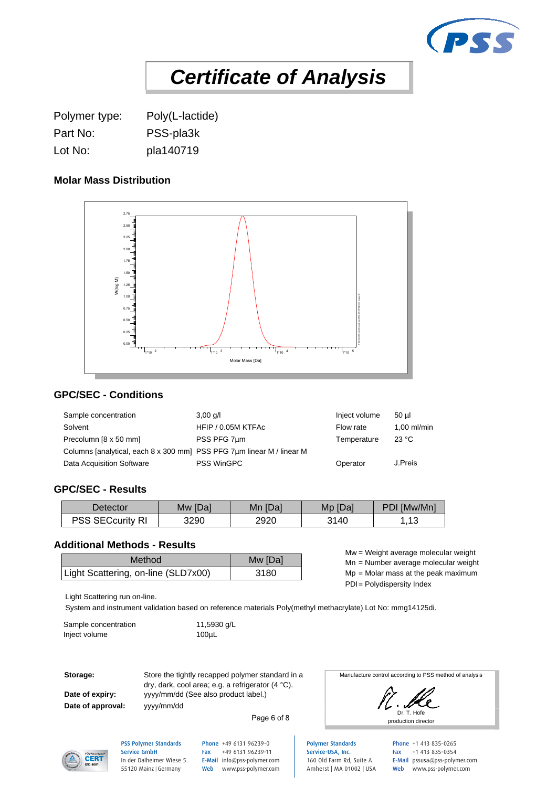

Polymer type: Poly(L-lactide) Part No: PSS-pla3k Lot No: pla140719

## **Molar Mass Distribution**



## **GPC/SEC - Conditions**

| Sample concentration                                                  | $3,00$ g/l         | Inject volume | 50 ul       |
|-----------------------------------------------------------------------|--------------------|---------------|-------------|
| Solvent                                                               | HFIP / 0.05M KTFAc | Flow rate     | 1.00 ml/min |
| Precolumn [8 x 50 mm]                                                 | PSS PFG 7um        | Temperature   | 23 °C       |
| Columns [analytical, each 8 x 300 mm] PSS PFG 7um linear M / linear M |                    |               |             |
| Data Acquisition Software                                             | <b>PSS WinGPC</b>  | Operator      | J.Preis     |

#### **GPC/SEC - Results**

| Detector                         | ⊺[Da]<br><b>Mw</b> | [Da]<br>Mn | Mp [Da] | PDI [Mw/Mn]        |
|----------------------------------|--------------------|------------|---------|--------------------|
| <b>SECcurity RI</b><br>nee<br>ںں | 3290               | 2920       | 3140    | $\sqrt{2}$<br>ں اب |

#### **Additional Methods - Results**

| Method                              | Mw [Da] | $m = v$ eight average molecular weight<br>Mn = Number average molecular weight |
|-------------------------------------|---------|--------------------------------------------------------------------------------|
| Light Scattering, on-line (SLD7x00) | 3180    | $Mp = Molar$ mass at the peak maximum                                          |

Mw = Weight average molecular weight Mn = Number average molecular weight

PDI= Polydispersity Index

Light Scattering run on-line.

System and instrument validation based on reference materials Poly(methyl methacrylate) Lot No: mmg14125di.

| Sample concentration | 11,5930 g/L      |
|----------------------|------------------|
| Inject volume        | 100 <sub>µ</sub> |

**Date of approval:**

**Storage:** Store the tightly recapped polymer standard in a Date of expiry: yyyy/mm/dd (See also product label.) dry, dark, cool area; e.g. a refrigerator (4 °C). yyyy/mm/dd

Page 6 of 8

Manufacture control according to PSS method of analysis



Polymer Standards Service-USA, Inc. 160 Old Farm Rd, Suite A Amherst | MA 01002 | USA Phone +1 413 835-0265 Fax +1 413 835-0354 E-Mail pssusa@pss-polymer.com Web www.pss-polymer.com



PSS Polymer Standards Service GmbH In der Dalheimer Wiese 5 55120 Mainz |Germany

Phone +49 6131 96239-0 Fax +49 6131 96239-11 E-Mail info@pss-polymer.com Web www.pss-polymer.com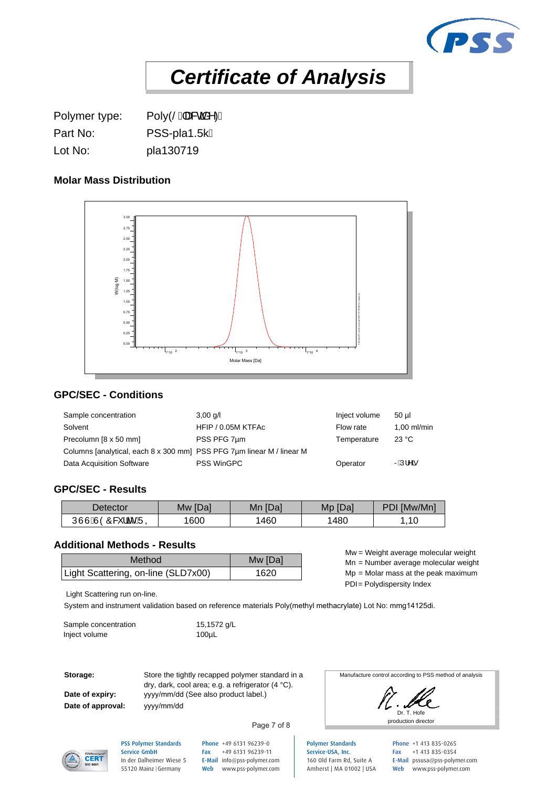

Polymer type: Poly(SEa&caan<sup>k</sup>)A Part No: PSS-pla1.5k/ Lot No: pla130719

## **Molar Mass Distribution**



## **GPC/SEC - Conditions**

| Sample concentration                                                  | $3,00$ g/l         | Inject volume | 50 ul       |
|-----------------------------------------------------------------------|--------------------|---------------|-------------|
| Solvent                                                               | HFIP / 0.05M KTFAc | Flow rate     | 1.00 ml/min |
| Precolumn [8 x 50 mm]                                                 | PSS PFG 7um        | Temperature   | 23 °C       |
| Columns [analytical, each 8 x 300 mm] PSS PFG 7um linear M / linear M |                    |               |             |
| Data Acquisition Software                                             | <b>PSS WinGPC</b>  | Operator      | R⊞Ú¦^ã      |

#### **GPC/SEC - Results**

| <b>Detector</b>                     | [Da]<br><b>NW</b> | [Da]<br>Mn | Mp [Da] | PDI [Mw/Mn] |
|-------------------------------------|-------------------|------------|---------|-------------|
| UUUAJOO&<br>$\cdots$<br>¦ãĉ<br>`AJQ | 1600              | 460        | 480     | ,10         |

#### **Additional Methods - Results**

| Method                              | Mw [Da] | $m = v$ eight average molecular weight<br>$Mn =$ Number average molecular weight |
|-------------------------------------|---------|----------------------------------------------------------------------------------|
| Light Scattering, on-line (SLD7x00) | 1620    | $Mp = Molar$ mass at the peak maximum                                            |

Mw = Weight average molecular weight Mn = Number average molecular weight

PDI= Polydispersity Index

Light Scattering run on-line.

System and instrument validation based on reference materials Poly(methyl methacrylate) Lot No: mmg14125di.

| Sample concentration | 15,1572 g/L      |
|----------------------|------------------|
| Inject volume        | 100 <sub>µ</sub> |

**Date of approval:**

**Storage:** Store the tightly recapped polymer standard in a Date of expiry: yyyy/mm/dd (See also product label.) dry, dark, cool area; e.g. a refrigerator (4 °C). yyyy/mm/dd

Manufacture control according to PSS method of analysis

Dr. T. Hofe production director



PSS Polymer Standards Service GmbH In der Dalheimer Wiese 5 55120 Mainz |Germany

Phone +49 6131 96239-0 Fax +49 6131 96239-11 E-Mail info@pss-polymer.com Web www.pss-polymer.com

Page 7 of 8

Polymer Standards Service-USA, Inc. 160 Old Farm Rd, Suite A Amherst | MA 01002 | USA